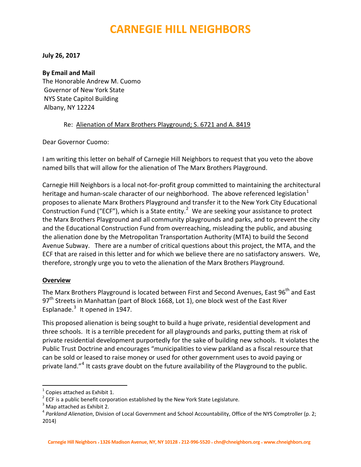# **CARNEGIE HILL NEIGHBORS**

#### **July 26, 2017**

#### **By Email and Mail**

The Honorable Andrew M. Cuomo Governor of New York State NYS State Capitol Building Albany, NY 12224

#### Re: Alienation of Marx Brothers Playground; S. 6721 and A. 8419

Dear Governor Cuomo:

I am writing this letter on behalf of Carnegie Hill Neighbors to request that you veto the above named bills that will allow for the alienation of The Marx Brothers Playground.

Carnegie Hill Neighbors is a local not‐for‐profit group committed to maintaining the architectural heritage and human-scale character of our neighborhood. The above referenced legislation $1$ proposes to alienate Marx Brothers Playground and transfer it to the New York City Educational Construction Fund ("ECF"), which is a State entity.<sup>[2](#page-0-1)</sup> We are seeking your assistance to protect the Marx Brothers Playground and all community playgrounds and parks, and to prevent the city and the Educational Construction Fund from overreaching, misleading the public, and abusing the alienation done by the Metropolitan Transportation Authority (MTA) to build the Second Avenue Subway. There are a number of critical questions about this project, the MTA, and the ECF that are raised in this letter and for which we believe there are no satisfactory answers. We, therefore, strongly urge you to veto the alienation of the Marx Brothers Playground.

# **Overview**

The Marx Brothers Playground is located between First and Second Avenues, East  $96<sup>th</sup>$  and East  $97<sup>th</sup>$  Streets in Manhattan (part of Block 1668, Lot 1), one block west of the East River Esplanade. $3$  It opened in 1947.

This proposed alienation is being sought to build a huge private, residential development and three schools. It is a terrible precedent for all playgrounds and parks, putting them at risk of private residential development purportedly for the sake of building new schools. It violates the Public Trust Doctrine and encourages "municipalities to view parkland as a fiscal resource that can be sold or leased to raise money or used for other government uses to avoid paying or private land."<sup>[4](#page-0-3)</sup> It casts grave doubt on the future availability of the Playground to the public.

<span id="page-0-1"></span>

<span id="page-0-3"></span><span id="page-0-2"></span>

<span id="page-0-0"></span><sup>&</sup>lt;sup>1</sup> Copies attached as Exhibit 1.<br><sup>2</sup> ECF is a public benefit corporation established by the New York State Legislature.<br><sup>3</sup> Map attached as Exhibit 2.<br><sup>4</sup> Parkland Alienation, Division of Local Government and School Acco 2014)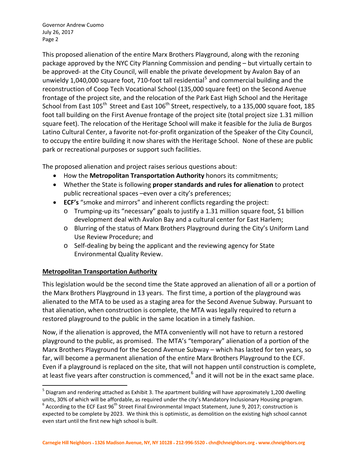This proposed alienation of the entire Marx Brothers Playground, along with the rezoning package approved by the NYC City Planning Commission and pending – but virtually certain to be approved- at the City Council, will enable the private development by Avalon Bay of an unwieldy 1,040,000 square foot, 710-foot tall residential<sup>[5](#page-1-0)</sup> and commercial building and the reconstruction of Coop Tech Vocational School (135,000 square feet) on the Second Avenue frontage of the project site, and the relocation of the Park East High School and the Heritage School from East 105<sup>th</sup> Street and East 106<sup>th</sup> Street, respectively, to a 135,000 square foot, 185 foot tall building on the First Avenue frontage of the project site (total project size 1.31 million square feet). The relocation of the Heritage School will make it feasible for the Julia de Burgos Latino Cultural Center, a favorite not‐for‐profit organization of the Speaker of the City Council, to occupy the entire building it now shares with the Heritage School. None of these are public park or recreational purposes or support such facilities.

The proposed alienation and project raises serious questions about:

- How the **Metropolitan Transportation Authority** honors its commitments;
- Whether the State is following **proper standards and rules for alienation** to protect public recreational spaces –even over a city's preferences;
- **ECF's** "smoke and mirrors" and inherent conflicts regarding the project:
	- o Trumping‐up its "necessary" goals to justify a 1.31 million square foot, \$1 billion development deal with Avalon Bay and a cultural center for East Harlem;
	- o Blurring of the status of Marx Brothers Playground during the City's Uniform Land Use Review Procedure; and
	- o Self‐dealing by being the applicant and the reviewing agency for State Environmental Quality Review.

# **Metropolitan Transportation Authority**

This legislation would be the second time the State approved an alienation of all or a portion of the Marx Brothers Playground in 13 years. The first time, a portion of the playground was alienated to the MTA to be used as a staging area for the Second Avenue Subway. Pursuant to that alienation, when construction is complete, the MTA was legally required to return a restored playground to the public in the same location in a timely fashion.

Now, if the alienation is approved, the MTA conveniently will not have to return a restored playground to the public, as promised. The MTA's "temporary" alienation of a portion of the Marx Brothers Playground for the Second Avenue Subway – which has lasted for ten years, so far, will become a permanent alienation of the entire Marx Brothers Playground to the ECF. Even if a playground is replaced on the site, that will not happen until construction is complete, at least five years after construction is commenced, $6$  and it will not be in the exact same place.

<span id="page-1-1"></span><span id="page-1-0"></span> $<sup>5</sup>$  Diagram and rendering attached as Exhibit 3. The apartment building will have approximately 1,200 dwelling</sup> units, 30% of which will be affordable, as required under the city's Mandatory Inclusionary Housing program.<br><sup>6</sup> According to the ECF East 96<sup>th</sup> Street Final Environmental Impact Statement, June 9, 2017; construction is expected to be complete by 2023. We think this is optimistic, as demolition on the existing high school cannot even start until the first new high school is built.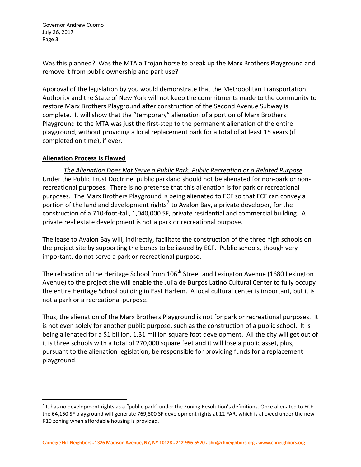Was this planned? Was the MTA a Trojan horse to break up the Marx Brothers Playground and remove it from public ownership and park use?

Approval of the legislation by you would demonstrate that the Metropolitan Transportation Authority and the State of New York will not keep the commitments made to the community to restore Marx Brothers Playground after construction of the Second Avenue Subway is complete. It will show that the "temporary" alienation of a portion of Marx Brothers Playground to the MTA was just the first‐step to the permanent alienation of the entire playground, without providing a local replacement park for a total of at least 15 years (if completed on time), if ever.

# **Alienation Process Is Flawed**

*The Alienation Does Not Serve a Public Park, Public Recreation or a Related Purpose* Under the Public Trust Doctrine, public parkland should not be alienated for non‐park or non‐ recreational purposes. There is no pretense that this alienation is for park or recreational purposes. The Marx Brothers Playground is being alienated to ECF so that ECF can convey a portion of the land and development rights<sup>[7](#page-2-0)</sup> to Avalon Bay, a private developer, for the construction of a 710-foot-tall, 1,040,000 SF, private residential and commercial building. A private real estate development is not a park or recreational purpose.

The lease to Avalon Bay will, indirectly, facilitate the construction of the three high schools on the project site by supporting the bonds to be issued by ECF. Public schools, though very important, do not serve a park or recreational purpose.

The relocation of the Heritage School from 106<sup>th</sup> Street and Lexington Avenue (1680 Lexington Avenue) to the project site will enable the Julia de Burgos Latino Cultural Center to fully occupy the entire Heritage School building in East Harlem. A local cultural center is important, but it is not a park or a recreational purpose.

Thus, the alienation of the Marx Brothers Playground is not for park or recreational purposes. It is not even solely for another public purpose, such as the construction of a public school. It is being alienated for a \$1 billion, 1.31 million square foot development. All the city will get out of it is three schools with a total of 270,000 square feet and it will lose a public asset, plus, pursuant to the alienation legislation, be responsible for providing funds for a replacement playground.

<span id="page-2-0"></span> $<sup>7</sup>$  It has no development rights as a "public park" under the Zoning Resolution's definitions. Once alienated to ECF</sup> the 64,150 SF playground will generate 769,800 SF development rights at 12 FAR, which is allowed under the new R10 zoning when affordable housing is provided.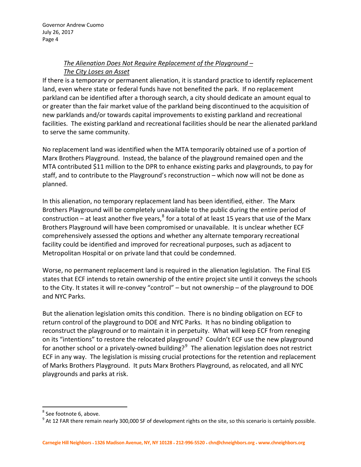# *The Alienation Does Not Require Replacement of the Playground – The City Loses an Asset*

If there is a temporary or permanent alienation, it is standard practice to identify replacement land, even where state or federal funds have not benefited the park. If no replacement parkland can be identified after a thorough search, a city should dedicate an amount equal to or greater than the fair market value of the parkland being discontinued to the acquisition of new parklands and/or towards capital improvements to existing parkland and recreational facilities. The existing parkland and recreational facilities should be near the alienated parkland to serve the same community.

No replacement land was identified when the MTA temporarily obtained use of a portion of Marx Brothers Playground. Instead, the balance of the playground remained open and the MTA contributed \$11 million to the DPR to enhance existing parks and playgrounds, to pay for staff, and to contribute to the Playground's reconstruction – which now will not be done as planned.

In this alienation, no temporary replacement land has been identified, either. The Marx Brothers Playground will be completely unavailable to the public during the entire period of construction – at least another five years, $^8$  $^8$  for a total of at least 15 years that use of the Marx Brothers Playground will have been compromised or unavailable. It is unclear whether ECF comprehensively assessed the options and whether any alternate temporary recreational facility could be identified and improved for recreational purposes, such as adjacent to Metropolitan Hospital or on private land that could be condemned.

Worse, no permanent replacement land is required in the alienation legislation. The Final EIS states that ECF intends to retain ownership of the entire project site until it conveys the schools to the City. It states it will re‐convey "control" – but not ownership – of the playground to DOE and NYC Parks.

But the alienation legislation omits this condition. There is no binding obligation on ECF to return control of the playground to DOE and NYC Parks. It has no binding obligation to reconstruct the playground or to maintain it in perpetuity. What will keep ECF from reneging on its "intentions" to restore the relocated playground? Couldn't ECF use the new playground for another school or a privately-owned building?<sup>[9](#page-3-1)</sup> The alienation legislation does not restrict ECF in any way. The legislation is missing crucial protections for the retention and replacement of Marks Brothers Playground. It puts Marx Brothers Playground, as relocated, and all NYC playgrounds and parks at risk.

<span id="page-3-1"></span><span id="page-3-0"></span><sup>&</sup>lt;sup>8</sup> See footnote 6, above.<br><sup>9</sup> At 12 FAR there remain nearly 300,000 SF of development rights on the site, so this scenario is certainly possible.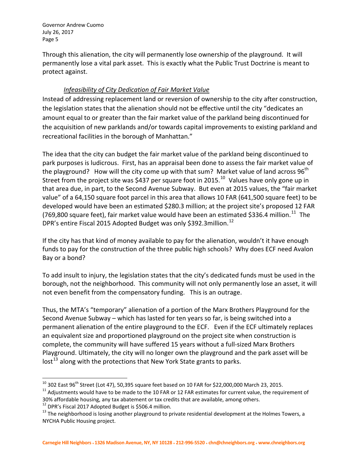Through this alienation, the city will permanently lose ownership of the playground. It will permanently lose a vital park asset. This is exactly what the Public Trust Doctrine is meant to protect against.

# *Infeasibility of City Dedication of Fair Market Value*

Instead of addressing replacement land or reversion of ownership to the city after construction, the legislation states that the alienation should not be effective until the city "dedicates an amount equal to or greater than the fair market value of the parkland being discontinued for the acquisition of new parklands and/or towards capital improvements to existing parkland and recreational facilities in the borough of Manhattan."

The idea that the city can budget the fair market value of the parkland being discontinued to park purposes is ludicrous. First, has an appraisal been done to assess the fair market value of the playground? How will the city come up with that sum? Market value of land across  $96<sup>th</sup>$ Street from the project site was \$437 per square foot in 2015.<sup>[10](#page-4-0)</sup> Values have only gone up in that area due, in part, to the Second Avenue Subway. But even at 2015 values, the "fair market value" of a 64,150 square foot parcel in this area that allows 10 FAR (641,500 square feet) to be developed would have been an estimated \$280.3 million; at the project site's proposed 12 FAR (769,800 square feet), fair market value would have been an estimated \$336.4 million.<sup>[11](#page-4-1)</sup> The DPR's entire Fiscal 2015 Adopted Budget was only \$392.3million.<sup>[12](#page-4-2)</sup>

If the city has that kind of money available to pay for the alienation, wouldn't it have enough funds to pay for the construction of the three public high schools? Why does ECF need Avalon Bay or a bond?

To add insult to injury, the legislation states that the city's dedicated funds must be used in the borough, not the neighborhood. This community will not only permanently lose an asset, it will not even benefit from the compensatory funding. This is an outrage.

Thus, the MTA's "temporary" alienation of a portion of the Marx Brothers Playground for the Second Avenue Subway – which has lasted for ten years so far, is being switched into a permanent alienation of the entire playground to the ECF. Even if the ECF ultimately replaces an equivalent size and proportioned playground on the project site when construction is complete, the community will have suffered 15 years without a full‐sized Marx Brothers Playground. Ultimately, the city will no longer own the playground and the park asset will be  $\frac{13}{3}$  $\frac{13}{3}$  $\frac{13}{3}$  along with the protections that New York State grants to parks.

Carnegie Hill Neighbors + 1326 Madison Avenue, NY, NY 10128 + 212-996-5520 + chn@chneighbors.org + www.chneighbors.org

<span id="page-4-0"></span> <sup>10</sup> 302 East 96<sup>th</sup> Street (Lot 47), 50,395 square feet based on 10 FAR for \$22,000,000 March 23, 2015.<br><sup>11</sup> Adjustments would have to be made to the 10 FAR or 12 FAR estimates for current value, the requirement of

<span id="page-4-1"></span><sup>30%</sup> affordable housing, any tax abatement or tax credits that are available, among others.<br><sup>12</sup> DPR's Fiscal 2017 Adopted Budget is \$506.4 million.<br><sup>13</sup> The neighborhood is losing another playground to private residential

<span id="page-4-2"></span>

<span id="page-4-3"></span>NYCHA Public Housing project.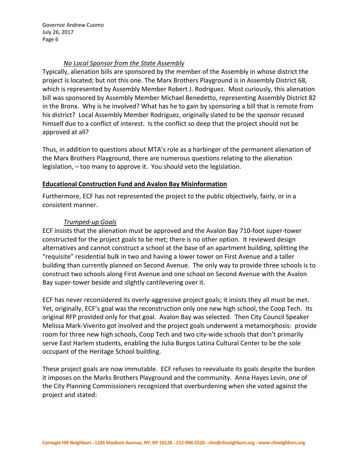#### *No Local Sponsor from the State Assembly*

Typically, alienation bills are sponsored by the member of the Assembly in whose district the project is located; but not this one. The Marx Brothers Playground is in Assembly District 68, which is represented by Assembly Member Robert J. Rodriguez. Most curiously, this alienation bill was sponsored by Assembly Member Michael Benedetto, representing Assembly District 82 in the Bronx. Why is he involved? What has he to gain by sponsoring a bill that is remote from his district? Local Assembly Member Rodriguez, originally slated to be the sponsor recused himself due to a conflict of interest. Is the conflict so deep that the project should not be approved at all?

Thus, in addition to questions about MTA's role as a harbinger of the permanent alienation of the Marx Brothers Playground, there are numerous questions relating to the alienation legislation, – too many to approve it. You should veto the legislation.

#### **Educational Construction Fund and Avalon Bay Misinformation**

Furthermore, ECF has not represented the project to the public objectively, fairly, or in a consistent manner.

# *Trumped‐up Goals*

ECF insists that the alienation must be approved and the Avalon Bay 710‐foot super‐tower constructed for the project goals to be met; there is no other option. It reviewed design alternatives and cannot construct a school at the base of an apartment building, splitting the "requisite" residential bulk in two and having a lower tower on First Avenue and a taller building than currently planned on Second Avenue. The only way to provide three schools is to construct two schools along First Avenue and one school on Second Avenue with the Avalon Bay super‐tower beside and slightly cantilevering over it.

ECF has never reconsidered its overly‐aggressive project goals; it insists they all must be met. Yet, originally, ECF's goal was the reconstruction only one new high school, the Coop Tech. Its original RFP provided only for that goal. Avalon Bay was selected. Then City Council Speaker Melissa Mark‐Viverito got involved and the project goals underwent a metamorphosis: provide room for three new high schools, Coop Tech and two city-wide schools that don't primarily serve East Harlem students, enabling the Julia Burgos Latina Cultural Center to be the sole occupant of the Heritage School building.

These project goals are now immutable. ECF refuses to reevaluate its goals despite the burden it imposes on the Marks Brothers Playground and the community. Anna Hayes Levin, one of the City Planning Commissioners recognized that overburdening when she voted against the project and stated: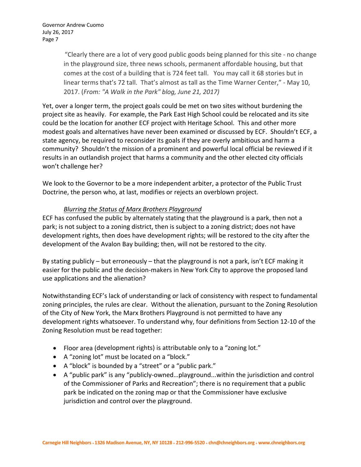"Clearly there are a lot of very good public goods being planned for this site ‐ no change in the playground size, three news schools, permanent affordable housing, but that comes at the cost of a building that is 724 feet tall. You may call it 68 stories but in linear terms that's 72 tall. That's almost as tall as the Time Warner Center," ‐ May 10, 2017. (*From: "A Walk in the Park" blog, June 21, 2017)*

Yet, over a longer term, the project goals could be met on two sites without burdening the project site as heavily. For example, the Park East High School could be relocated and its site could be the location for another ECF project with Heritage School. This and other more modest goals and alternatives have never been examined or discussed by ECF. Shouldn't ECF, a state agency, be required to reconsider its goals if they are overly ambitious and harm a community? Shouldn't the mission of a prominent and powerful local official be reviewed if it results in an outlandish project that harms a community and the other elected city officials won't challenge her?

We look to the Governor to be a more independent arbiter, a protector of the Public Trust Doctrine, the person who, at last, modifies or rejects an overblown project.

#### *Blurring the Status of Marx Brothers Playground*

ECF has confused the public by alternately stating that the playground is a park, then not a park; is not subject to a zoning district, then is subject to a zoning district; does not have development rights, then does have development rights; will be restored to the city after the development of the Avalon Bay building; then, will not be restored to the city.

By stating publicly – but erroneously – that the playground is not a park, isn't ECF making it easier for the public and the decision-makers in New York City to approve the proposed land use applications and the alienation?

Notwithstanding ECF's lack of understanding or lack of consistency with respect to fundamental zoning principles, the rules are clear. Without the alienation, pursuant to the Zoning Resolution of the City of New York, the Marx Brothers Playground is not permitted to have any development rights whatsoever. To understand why, four definitions from Section 12‐10 of the Zoning Resolution must be read together:

- Floor area (development rights) is attributable only to a "zoning lot."
- A "zoning lot" must be located on a "block."
- A "block" is bounded by a "street" or a "public park."
- A "public park" is any "publicly‐owned…playground...within the jurisdiction and control of the Commissioner of Parks and Recreation"; there is no requirement that a public park be indicated on the zoning map or that the Commissioner have exclusive jurisdiction and control over the playground.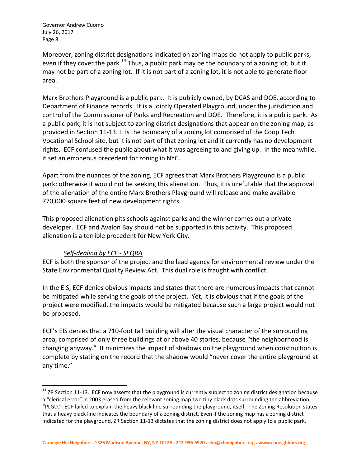Moreover, zoning district designations indicated on zoning maps do not apply to public parks, even if they cover the park.<sup>[14](#page-7-0)</sup> Thus, a public park may be the boundary of a zoning lot, but it may not be part of a zoning lot. If it is not part of a zoning lot, it is not able to generate floor area.

Marx Brothers Playground is a public park. It is publicly owned, by DCAS and DOE, according to Department of Finance records. It is a Jointly Operated Playground, under the jurisdiction and control of the Commissioner of Parks and Recreation and DOE. Therefore, it is a public park. As a public park, it is not subject to zoning district designations that appear on the zoning map, as provided in Section 11‐13. It is the boundary of a zoning lot comprised of the Coop Tech Vocational School site, but it is not part of that zoning lot and it currently has no development rights. ECF confused the public about what it was agreeing to and giving up. In the meanwhile, it set an erroneous precedent for zoning in NYC.

Apart from the nuances of the zoning, ECF agrees that Marx Brothers Playground is a public park; otherwise it would not be seeking this alienation. Thus, it is irrefutable that the approval of the alienation of the entire Marx Brothers Playground will release and make available 770,000 square feet of new development rights.

This proposed alienation pits schools against parks and the winner comes out a private developer. ECF and Avalon Bay should not be supported in this activity. This proposed alienation is a terrible precedent for New York City.

# *Self‐dealing by ECF ‐ SEQRA*

ECF is both the sponsor of the project and the lead agency for environmental review under the State Environmental Quality Review Act. This dual role is fraught with conflict.

In the EIS, ECF denies obvious impacts and states that there are numerous impacts that cannot be mitigated while serving the goals of the project. Yet, it is obvious that if the goals of the project were modified, the impacts would be mitigated because such a large project would not be proposed.

ECF's EIS denies that a 710‐foot tall building will alter the visual character of the surrounding area, comprised of only three buildings at or above 40 stories, because "the neighborhood is changing anyway." It minimizes the impact of shadows on the playground when construction is complete by stating on the record that the shadow would "never cover the entire playground at any time."

<span id="page-7-0"></span> $14$  ZR Section 11-13. ECF now asserts that the playground is currently subject to zoning district designation because a "clerical error" in 2003 erased from the relevant zoning map two tiny black dots surrounding the abbreviation, "PLGD." ECF failed to explain the heavy black line surrounding the playground, itself. The Zoning Resolution states that a heavy black line indicates the boundary of a zoning district. Even if the zoning map has a zoning district indicated for the playground, ZR Section 11‐13 dictates that the zoning district does not apply to a public park.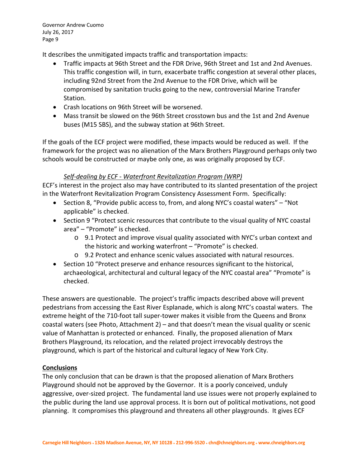It describes the unmitigated impacts traffic and transportation impacts:

- Traffic impacts at 96th Street and the FDR Drive, 96th Street and 1st and 2nd Avenues. This traffic congestion will, in turn, exacerbate traffic congestion at several other places, including 92nd Street from the 2nd Avenue to the FDR Drive, which will be compromised by sanitation trucks going to the new, controversial Marine Transfer Station.
- Crash locations on 96th Street will be worsened.
- Mass transit be slowed on the 96th Street crosstown bus and the 1st and 2nd Avenue buses (M15 SBS), and the subway station at 96th Street.

If the goals of the ECF project were modified, these impacts would be reduced as well. If the framework for the project was no alienation of the Marx Brothers Playground perhaps only two schools would be constructed or maybe only one, as was originally proposed by ECF.

# *Self‐dealing by ECF ‐ Waterfront Revitalization Program (WRP)*

ECF's interest in the project also may have contributed to its slanted presentation of the project in the Waterfront Revitalization Program Consistency Assessment Form. Specifically:

- Section 8, "Provide public access to, from, and along NYC's coastal waters" "Not applicable" is checked.
- Section 9 "Protect scenic resources that contribute to the visual quality of NYC coastal area" – "Promote" is checked.
	- $\circ$  9.1 Protect and improve visual quality associated with NYC's urban context and the historic and working waterfront – "Promote" is checked.
	- o 9.2 Protect and enhance scenic values associated with natural resources.
- Section 10 "Protect preserve and enhance resources significant to the historical, archaeological, architectural and cultural legacy of the NYC coastal area" "Promote" is checked.

These answers are questionable. The project's traffic impacts described above will prevent pedestrians from accessing the East River Esplanade, which is along NYC's coastal waters. The extreme height of the 710‐foot tall super‐tower makes it visible from the Queens and Bronx coastal waters (see Photo, Attachment 2) – and that doesn't mean the visual quality or scenic value of Manhattan is protected or enhanced. Finally, the proposed alienation of Marx Brothers Playground, its relocation, and the related project irrevocably destroys the playground, which is part of the historical and cultural legacy of New York City.

# **Conclusions**

The only conclusion that can be drawn is that the proposed alienation of Marx Brothers Playground should not be approved by the Governor. It is a poorly conceived, unduly aggressive, over‐sized project. The fundamental land use issues were not properly explained to the public during the land use approval process. It is born out of political motivations, not good planning. It compromises this playground and threatens all other playgrounds. It gives ECF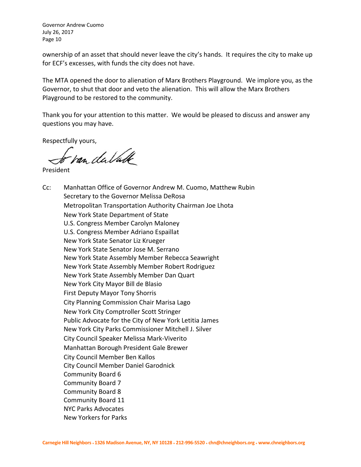ownership of an asset that should never leave the city's hands. It requires the city to make up for ECF's excesses, with funds the city does not have.

The MTA opened the door to alienation of Marx Brothers Playground. We implore you, as the Governor, to shut that door and veto the alienation. This will allow the Marx Brothers Playground to be restored to the community.

Thank you for your attention to this matter. We would be pleased to discuss and answer any questions you may have.

Respectfully yours,

van du Valle

President

Cc: Manhattan Office of Governor Andrew M. Cuomo, Matthew Rubin Secretary to the Governor Melissa DeRosa Metropolitan Transportation Authority Chairman Joe Lhota New York State Department of State U.S. Congress Member Carolyn Maloney U.S. Congress Member Adriano Espaillat New York State Senator Liz Krueger New York State Senator Jose M. Serrano New York State Assembly Member Rebecca Seawright New York State Assembly Member Robert Rodriguez New York State Assembly Member Dan Quart New York City Mayor Bill de Blasio First Deputy Mayor Tony Shorris City Planning Commission Chair Marisa Lago New York City Comptroller Scott Stringer Public Advocate for the City of New York Letitia James New York City Parks Commissioner Mitchell J. Silver City Council Speaker Melissa Mark‐Viverito Manhattan Borough President Gale Brewer City Council Member Ben Kallos City Council Member Daniel Garodnick Community Board 6 Community Board 7 Community Board 8 Community Board 11 NYC Parks Advocates New Yorkers for Parks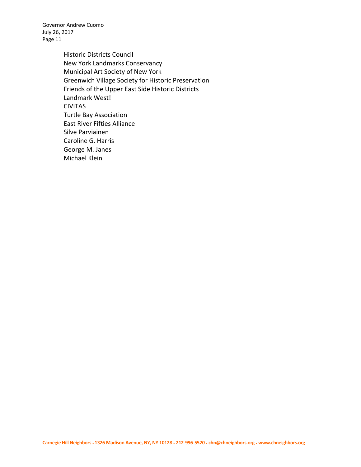> Historic Districts Council New York Landmarks Conservancy Municipal Art Society of New York Greenwich Village Society for Historic Preservation Friends of the Upper East Side Historic Districts Landmark West! CIVITAS Turtle Bay Association East River Fifties Alliance Silve Parviainen Caroline G. Harris George M. Janes Michael Klein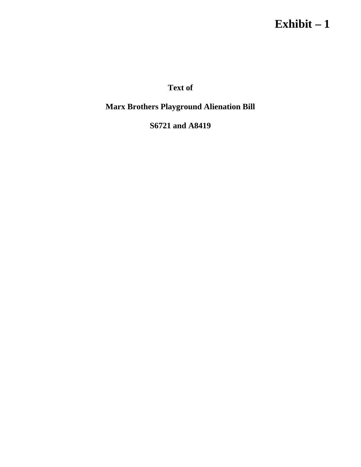# **Exhibit – 1**

**Text of** 

**Marx Brothers Playground Alienation Bill** 

**S6721 and A8419**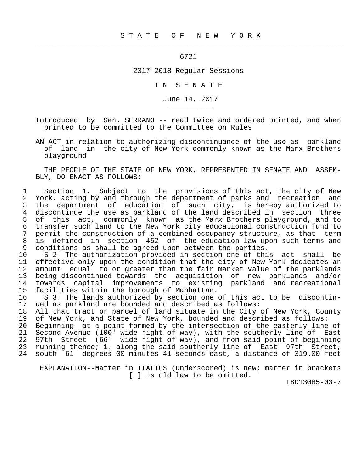6721

 $\frac{1}{2}$  , and the contribution of the contribution of the contribution of the contribution of the contribution of the contribution of the contribution of the contribution of the contribution of the contribution of the c

\_\_\_\_\_\_\_\_\_\_\_

2017-2018 Regular Sessions

I N S E N A T E

June 14, 2017

 Introduced by Sen. SERRANO -- read twice and ordered printed, and when printed to be committed to the Committee on Rules

 AN ACT in relation to authorizing discontinuance of the use as parkland of land in the city of New York commonly known as the Marx Brothers playground

 THE PEOPLE OF THE STATE OF NEW YORK, REPRESENTED IN SENATE AND ASSEM- BLY, DO ENACT AS FOLLOWS:

1 Section 1. Subject to the provisions of this act, the city of New<br>2 York, acting by and through the department of parks and recreation and York, acting by and through the department of parks and recreation and 3 the department of education of such city, is hereby authorized to<br>4 discontinue the use as parkland of the land-described in section three 4 discontinue the use as parkland of the land described in section three<br>5 of this act, commonly known as the Marx Brothers playground, and to 5 of this act, commonly known as the Marx Brothers playground, and to 6 transfer such land to the New York city educational construction fund to 7 permit the construction of a combined occupancy structure, as that term<br>8 is defined in section 452 of the education law upon such terms and 8 is defined in section 452 of the education law upon such terms and<br>9 conditions as shall be agreed upon between the parties. conditions as shall be agreed upon between the parties.

10 S 2. The authorization provided in section one of this act shall be<br>11 effective only upon the condition that the city of New York dedicates an 11 effective only upon the condition that the city of New York dedicates an<br>12 amount equal to or greater than the fair market value of the parklands 12 amount equal to or greater than the fair market value of the parklands<br>13 being discontinued towards the acquisition of new parklands and/or 13 being discontinued towards the acquisition of new parklands and/or<br>14 towards capital improvements to existing parkland and recreational 14 towards capital improvements to existing parkland and recreational<br>15 facilities within the borough of Manhattan. facilities within the borough of Manhattan.

16 S 3. The lands authorized by section one of this act to be discontin-<br>17 ued as parkland are bounded and described as follows: 17 ued as parkland are bounded and described as follows:

18 All that tract or parcel of land situate in the City of New York, County<br>19 of New York, and State of New York, bounded and described as follows: of New York, and State of New York, bounded and described as follows:

 20 Beginning at a point formed by the intersection of the easterly line of 21 Second Avenue (100' wide right of way), with the southerly line of East<br>22 97th Street (66' wide right of way), and from said point of beginning 22 97th Street (66' wide right of way), and from said point of beginning<br>23 running thence; 1. along the said southerly line of East 97th Street, running thence; 1. along the said southerly line of East 97th Street, 24 south 61 degrees 00 minutes 41 seconds east, a distance of 319.00 feet

 EXPLANATION--Matter in ITALICS (underscored) is new; matter in brackets [ ] is old law to be omitted.

LBD13085-03-7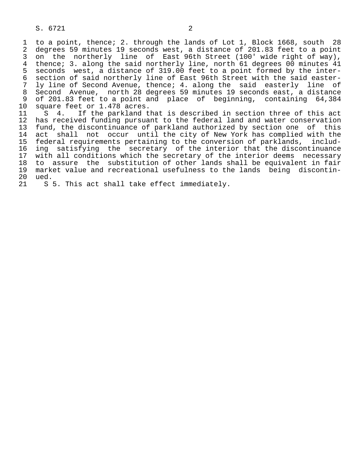1 to a point, thence; 2. through the lands of Lot 1, Block 1668, south 28 2 degrees 59 minutes 19 seconds west, a distance of 201.83 feet to a point<br>3 on the northerly line of East 96th Street (100' wide right of way), 3 on the northerly line of East 96th Street (100' wide right of way), 4 thence; 3. along the said northerly line, north 61 degrees 00 minutes 41<br>5 seconds west, a distance of 319.00 feet to a point formed by the inter-5 seconds west, a distance of 319.00 feet to a point formed by the inter-<br>6 section of said northerly line of East 96th Street with the said easter-6 section of said northerly line of East 96th Street with the said easter-<br>7 ly line of Second Avenue, thence; 4. along the said easterly line of ly line of Second Avenue, thence; 4. along the said easterly line of 8 Second Avenue, north 28 degrees 59 minutes 19 seconds east, a distance<br>9 of 201.83 feet to a point and place of beginning, containing 64,384 9 of 201.83 feet to a point and place of beginning, containing 64,384<br>10 square feet or 1.478 acres.

10 square feet or 1.478 acres.<br>11 S 4. If the parkland t 11 S 4. If the parkland that is described in section three of this act<br>12 has received funding pursuant to the federal land and water conservation has received funding pursuant to the federal land and water conservation 13 fund, the discontinuance of parkland authorized by section one of this<br>14 act shall not occur until the city of New York has complied with the act shall not occur until the city of New York has complied with the 15 federal requirements pertaining to the conversion of parklands, includ- 16 ing satisfying the secretary of the interior that the discontinuance<br>17 with all conditions which the secretary of the interior deems necessary 17 with all conditions which the secretary of the interior deems necessary<br>18 to assure the substitution of other lands shall be equivalent in fair 18 to assure the substitution of other lands shall be equivalent in fair<br>19 market value and recreational usefulness to the lands being discontin- 19 market value and recreational usefulness to the lands being discontin- 20 ued.<br>21 S

S 5. This act shall take effect immediately.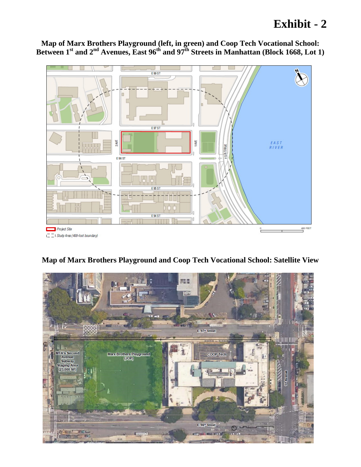# **Exhibit - 2**



**Map of Marx Brothers Playground (left, in green) and Coop Tech Vocational School:**  Between 1<sup>st</sup> and 2<sup>nd</sup> Avenues, East 96<sup>th</sup> and 97<sup>th</sup> Streets in Manhattan (Block 1668, Lot 1)

# **Map of Marx Brothers Playground and Coop Tech Vocational School: Satellite View**